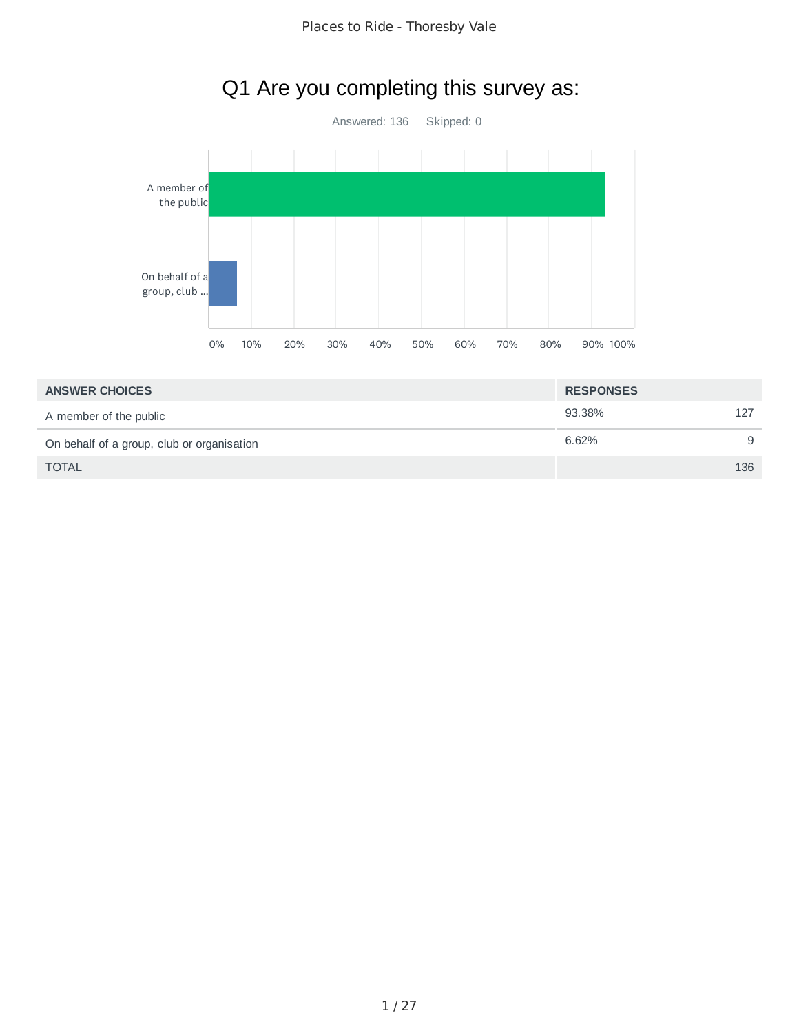

## Q1 Are you completing this survey as:

| <b>ANSWER CHOICES</b>                      | <b>RESPONSES</b> |     |
|--------------------------------------------|------------------|-----|
| A member of the public                     | 93.38%           | 127 |
| On behalf of a group, club or organisation | 6.62%            | 9   |
| <b>TOTAL</b>                               |                  | 136 |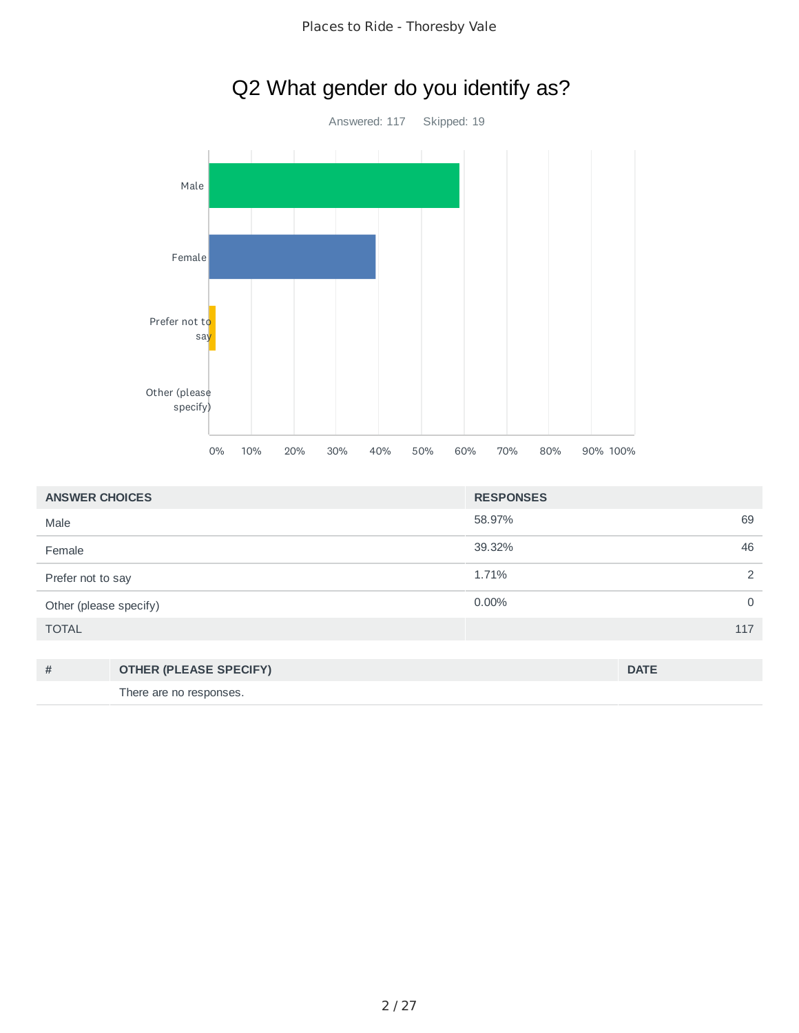

| <b>ANSWER CHOICES</b>  |                               | <b>RESPONSES</b> |                |
|------------------------|-------------------------------|------------------|----------------|
| Male                   |                               | 58.97%           | 69             |
| Female                 |                               | 39.32%           | 46             |
| Prefer not to say      |                               | 1.71%            | $\overline{2}$ |
| Other (please specify) |                               | $0.00\%$         | $\mathbf 0$    |
| <b>TOTAL</b>           |                               |                  | 117            |
|                        |                               |                  |                |
| #                      | <b>OTHER (PLEASE SPECIFY)</b> |                  | <b>DATE</b>    |
|                        | There are no responses.       |                  |                |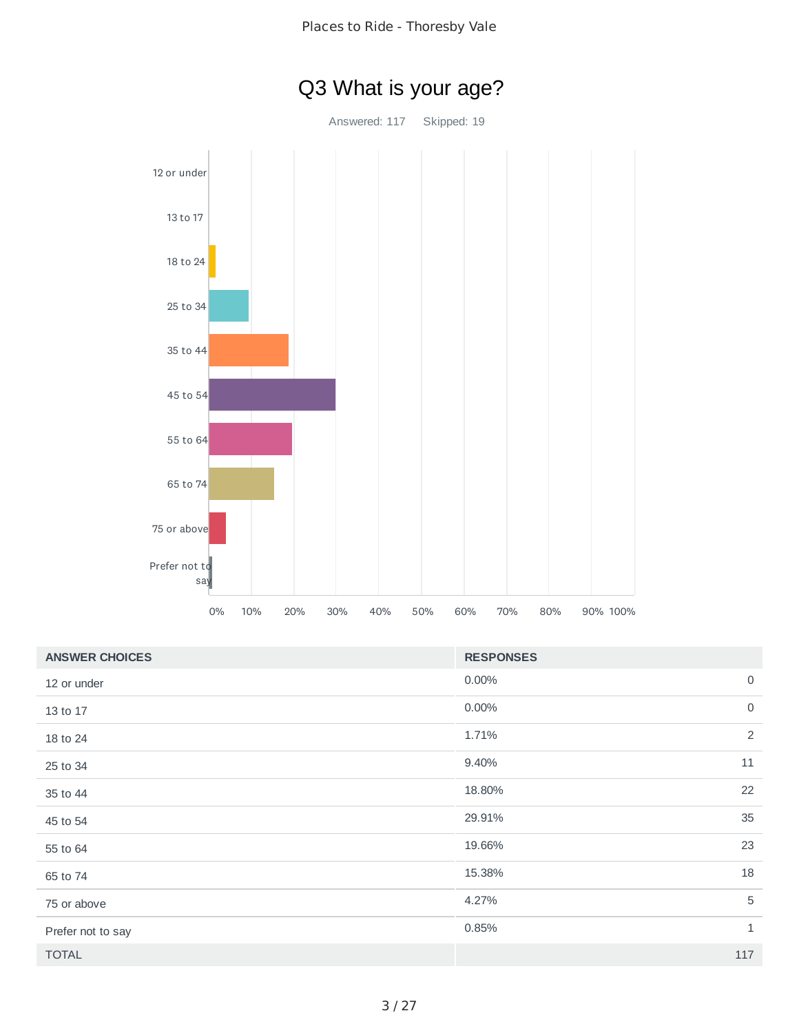

| <b>ANSWER CHOICES</b> | <b>RESPONSES</b> |                |
|-----------------------|------------------|----------------|
| 12 or under           | 0.00%            | $\overline{0}$ |
| 13 to 17              | 0.00%            | $\mathbf 0$    |
| 18 to 24              | 1.71%            | 2              |
| 25 to 34              | 9.40%            | 11             |
| 35 to 44              | 18.80%           | 22             |
| 45 to 54              | 29.91%           | 35             |
| 55 to 64              | 19.66%           | 23             |
| 65 to 74              | 15.38%           | 18             |
| 75 or above           | 4.27%            | 5              |
| Prefer not to say     | 0.85%            | $\mathbf{1}$   |
| <b>TOTAL</b>          |                  | 117            |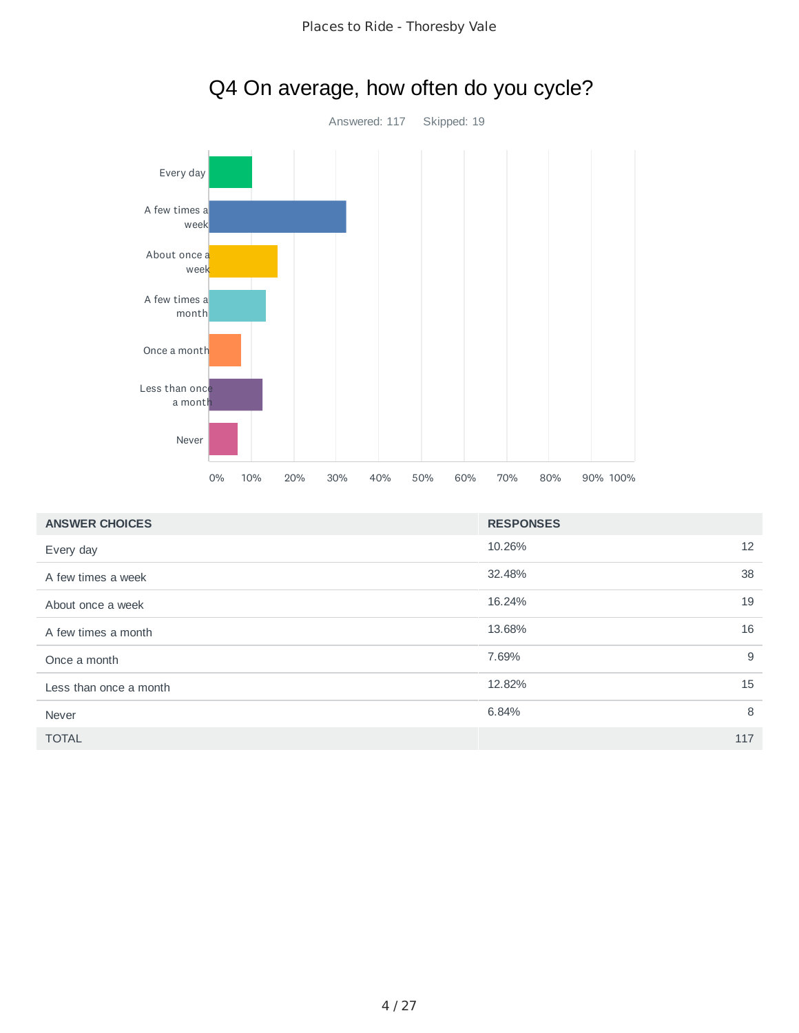

| Q4 On average, how often do you cycle? |  |  |  |
|----------------------------------------|--|--|--|
|----------------------------------------|--|--|--|

| <b>ANSWER CHOICES</b>  | <b>RESPONSES</b> |     |
|------------------------|------------------|-----|
| Every day              | 10.26%           | 12  |
| A few times a week     | 32.48%           | 38  |
| About once a week      | 16.24%           | 19  |
| A few times a month    | 13.68%           | 16  |
| Once a month           | 7.69%            | 9   |
| Less than once a month | 12.82%           | 15  |
| Never                  | 6.84%            | 8   |
| <b>TOTAL</b>           |                  | 117 |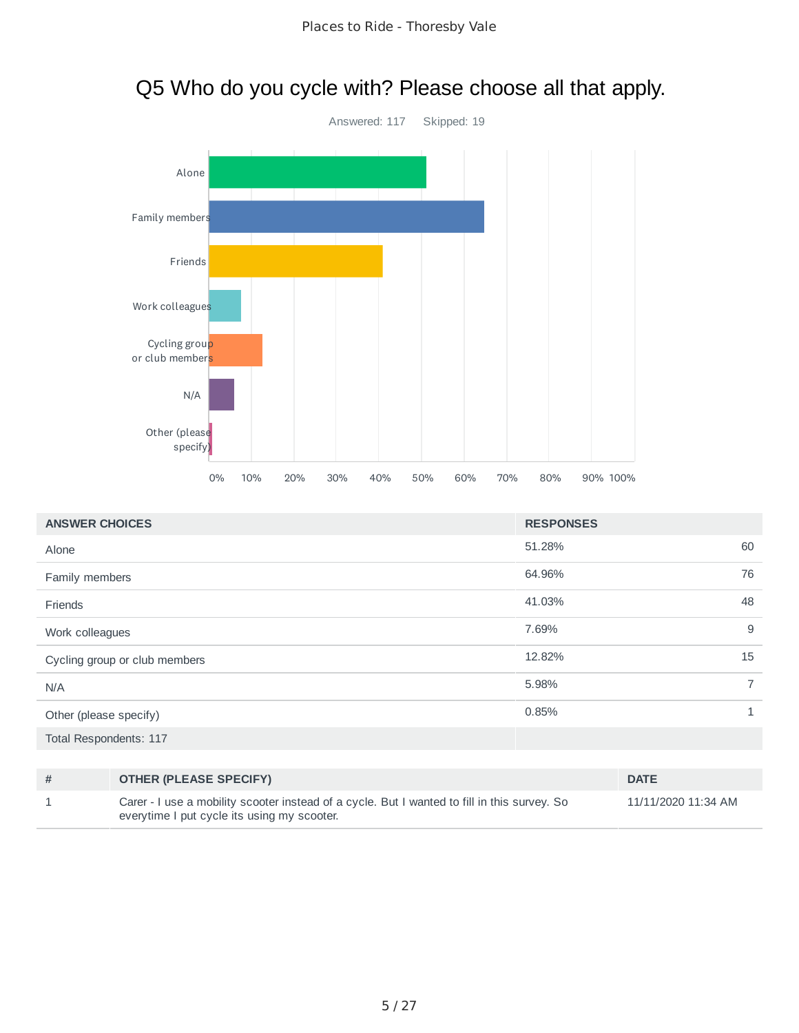# Answered: 117 Skipped: 19 Alone Family members Friends Work colleagues Cycling group or club members N/A Other (please specify) 0% 10% 20% 30% 40% 50% 60% 70% 80% 90% 100%

| <b>ANSWER CHOICES</b>         | <b>RESPONSES</b> |                |
|-------------------------------|------------------|----------------|
| Alone                         | 51.28%           | 60             |
| Family members                | 64.96%           | 76             |
| Friends                       | 41.03%           | 48             |
| Work colleagues               | 7.69%            | 9              |
| Cycling group or club members | 12.82%           | 15             |
| N/A                           | 5.98%            | $\overline{7}$ |
| Other (please specify)        | 0.85%            | $\mathbf{1}$   |
| Total Respondents: 117        |                  |                |
|                               |                  |                |

| # | <b>OTHER (PLEASE SPECIFY)</b>                                                                                                               | <b>DATE</b>         |
|---|---------------------------------------------------------------------------------------------------------------------------------------------|---------------------|
|   | Carer - I use a mobility scooter instead of a cycle. But I wanted to fill in this survey. So<br>everytime I put cycle its using my scooter. | 11/11/2020 11:34 AM |

# Q5 Who do you cycle with? Please choose all that apply.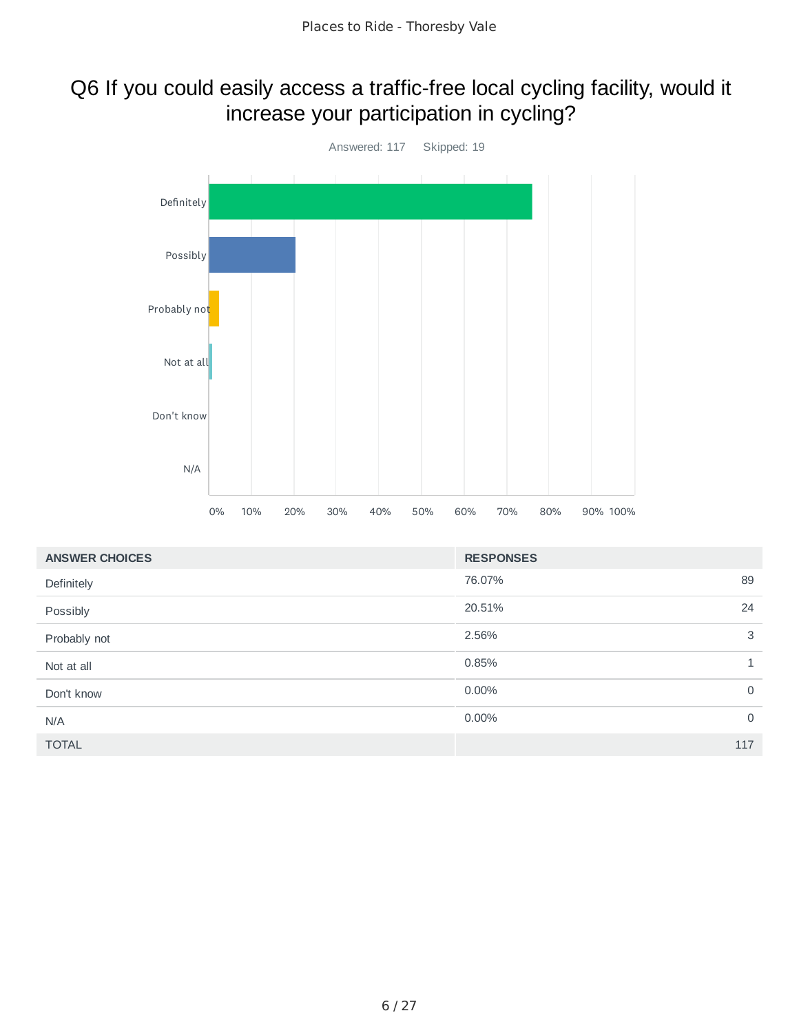### Q6 If you could easily access a traffic-free local cycling facility, would it increase your participation in cycling?



| <b>ANSWER CHOICES</b> | <b>RESPONSES</b> |              |
|-----------------------|------------------|--------------|
| Definitely            | 76.07%           | 89           |
| Possibly              | 20.51%           | 24           |
| Probably not          | 2.56%            | 3            |
| Not at all            | 0.85%            | $\mathbf{1}$ |
| Don't know            | $0.00\%$         | $\mathbf 0$  |
| N/A                   | 0.00%            | $\mathbf 0$  |
| <b>TOTAL</b>          |                  | 117          |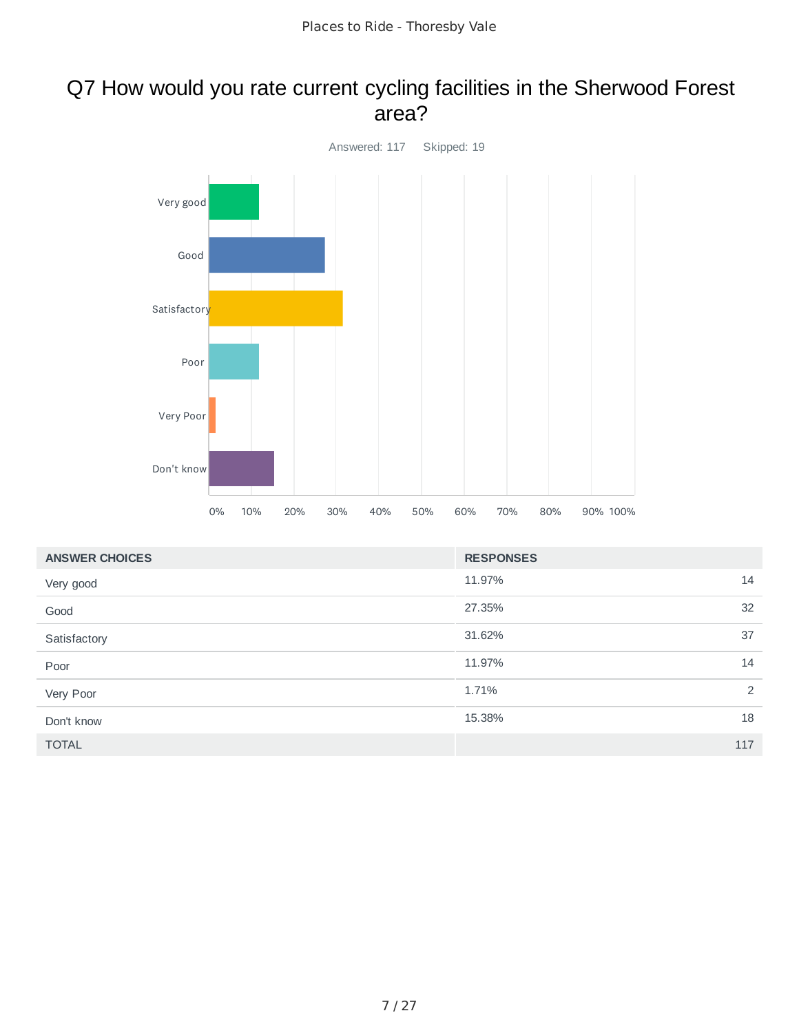#### Q7 How would you rate current cycling facilities in the Sherwood Forest area?



| <b>ANSWER CHOICES</b> | <b>RESPONSES</b> |     |
|-----------------------|------------------|-----|
| Very good             | 11.97%           | 14  |
| Good                  | 27.35%           | 32  |
| Satisfactory          | 31.62%           | 37  |
| Poor                  | 11.97%           | 14  |
| Very Poor             | 1.71%            | 2   |
| Don't know            | 15.38%           | 18  |
| <b>TOTAL</b>          |                  | 117 |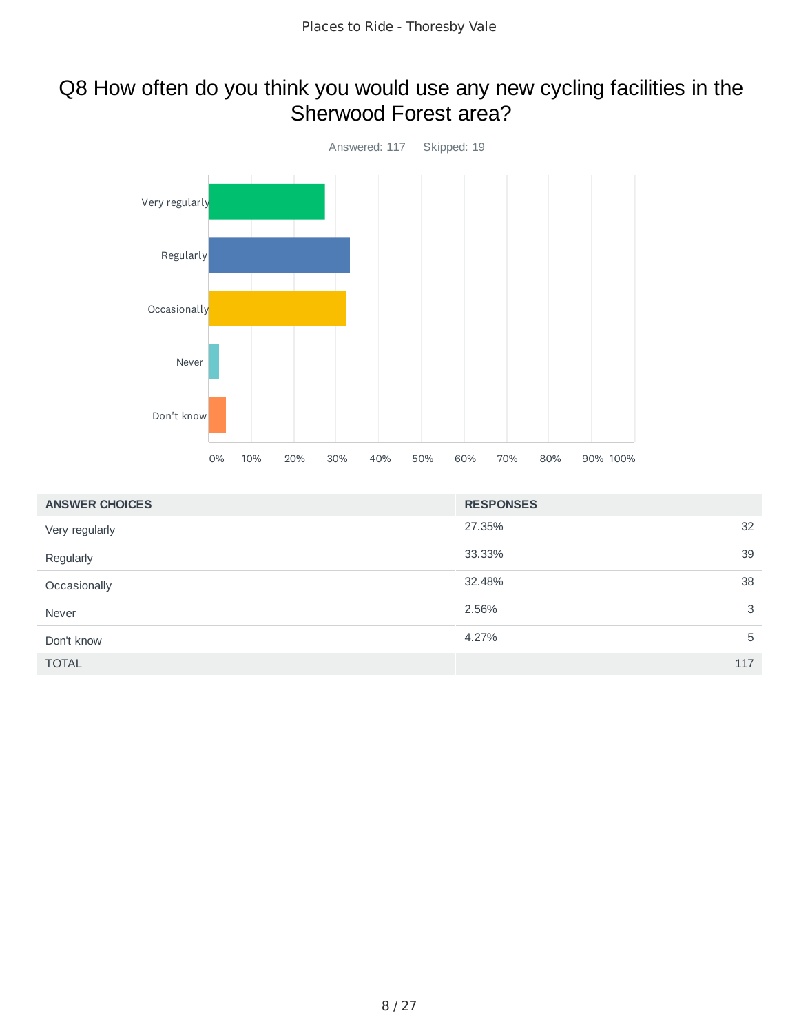#### Q8 How often do you think you would use any new cycling facilities in the Sherwood Forest area?



| <b>ANSWER CHOICES</b> | <b>RESPONSES</b> |     |
|-----------------------|------------------|-----|
| Very regularly        | 27.35%           | 32  |
| Regularly             | 33.33%           | 39  |
| Occasionally          | 32.48%           | 38  |
| Never                 | 2.56%            | 3   |
| Don't know            | 4.27%            | 5   |
| <b>TOTAL</b>          |                  | 117 |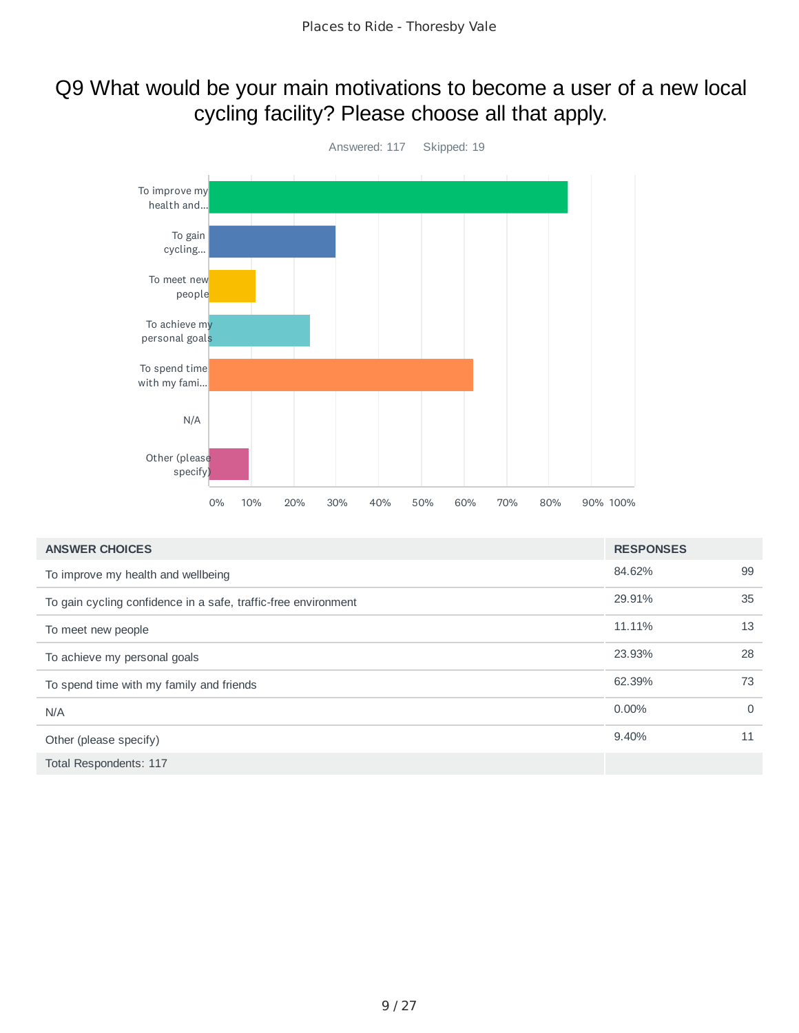#### Q9 What would be your main motivations to become a user of a new local cycling facility? Please choose all that apply.



| <b>ANSWER CHOICES</b>                                          | <b>RESPONSES</b> |          |
|----------------------------------------------------------------|------------------|----------|
| To improve my health and wellbeing                             | 84.62%           | 99       |
| To gain cycling confidence in a safe, traffic-free environment | 29.91%           | 35       |
| To meet new people                                             | 11.11%           | 13       |
| To achieve my personal goals                                   | 23.93%           | 28       |
| To spend time with my family and friends                       | 62.39%           | 73       |
| N/A                                                            | $0.00\%$         | $\Omega$ |
| Other (please specify)                                         | 9.40%            | 11       |
| Total Respondents: 117                                         |                  |          |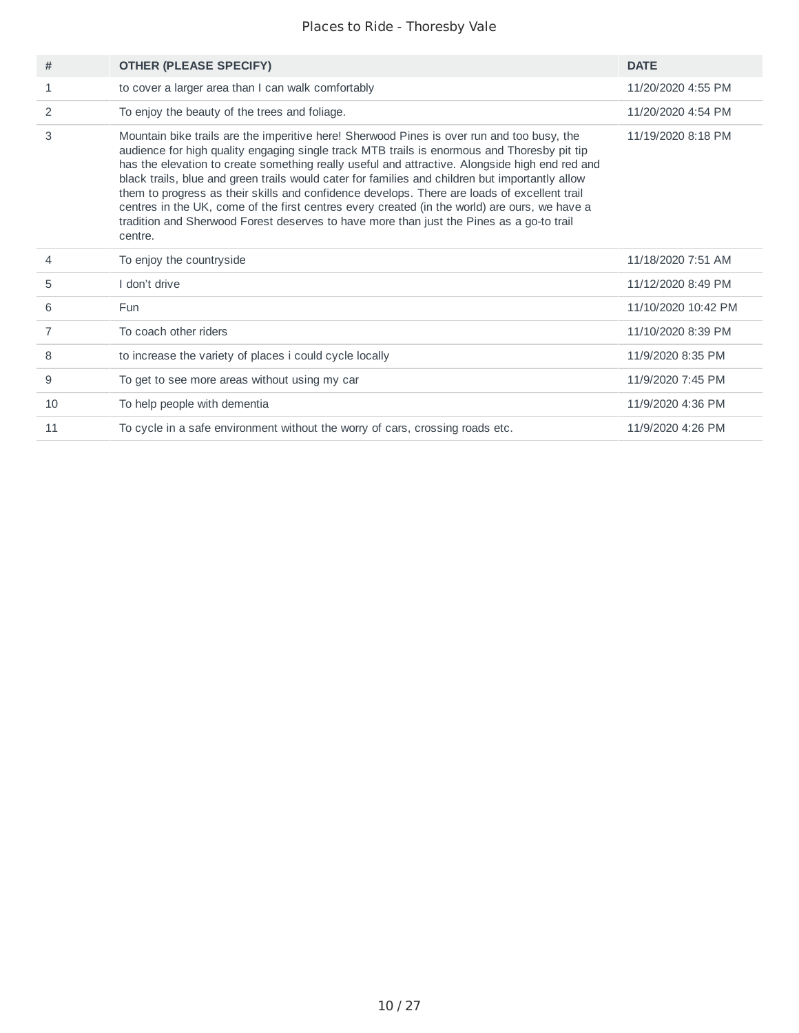| #              | <b>OTHER (PLEASE SPECIFY)</b>                                                                                                                                                                                                                                                                                                                                                                                                                                                                                                                                                                                                                                                                          | <b>DATE</b>         |
|----------------|--------------------------------------------------------------------------------------------------------------------------------------------------------------------------------------------------------------------------------------------------------------------------------------------------------------------------------------------------------------------------------------------------------------------------------------------------------------------------------------------------------------------------------------------------------------------------------------------------------------------------------------------------------------------------------------------------------|---------------------|
| 1              | to cover a larger area than I can walk comfortably                                                                                                                                                                                                                                                                                                                                                                                                                                                                                                                                                                                                                                                     | 11/20/2020 4:55 PM  |
| 2              | To enjoy the beauty of the trees and foliage.                                                                                                                                                                                                                                                                                                                                                                                                                                                                                                                                                                                                                                                          | 11/20/2020 4:54 PM  |
| 3              | Mountain bike trails are the imperitive here! Sherwood Pines is over run and too busy, the<br>audience for high quality engaging single track MTB trails is enormous and Thoresby pit tip<br>has the elevation to create something really useful and attractive. Alongside high end red and<br>black trails, blue and green trails would cater for families and children but importantly allow<br>them to progress as their skills and confidence develops. There are loads of excellent trail<br>centres in the UK, come of the first centres every created (in the world) are ours, we have a<br>tradition and Sherwood Forest deserves to have more than just the Pines as a go-to trail<br>centre. | 11/19/2020 8:18 PM  |
| 4              | To enjoy the countryside                                                                                                                                                                                                                                                                                                                                                                                                                                                                                                                                                                                                                                                                               | 11/18/2020 7:51 AM  |
| 5              | I don't drive                                                                                                                                                                                                                                                                                                                                                                                                                                                                                                                                                                                                                                                                                          | 11/12/2020 8:49 PM  |
| 6              | Fun                                                                                                                                                                                                                                                                                                                                                                                                                                                                                                                                                                                                                                                                                                    | 11/10/2020 10:42 PM |
| $\overline{7}$ | To coach other riders                                                                                                                                                                                                                                                                                                                                                                                                                                                                                                                                                                                                                                                                                  | 11/10/2020 8:39 PM  |
| 8              | to increase the variety of places i could cycle locally                                                                                                                                                                                                                                                                                                                                                                                                                                                                                                                                                                                                                                                | 11/9/2020 8:35 PM   |
| 9              | To get to see more areas without using my car                                                                                                                                                                                                                                                                                                                                                                                                                                                                                                                                                                                                                                                          | 11/9/2020 7:45 PM   |
| 10             | To help people with dementia                                                                                                                                                                                                                                                                                                                                                                                                                                                                                                                                                                                                                                                                           | 11/9/2020 4:36 PM   |
| 11             | To cycle in a safe environment without the worry of cars, crossing roads etc.                                                                                                                                                                                                                                                                                                                                                                                                                                                                                                                                                                                                                          | 11/9/2020 4:26 PM   |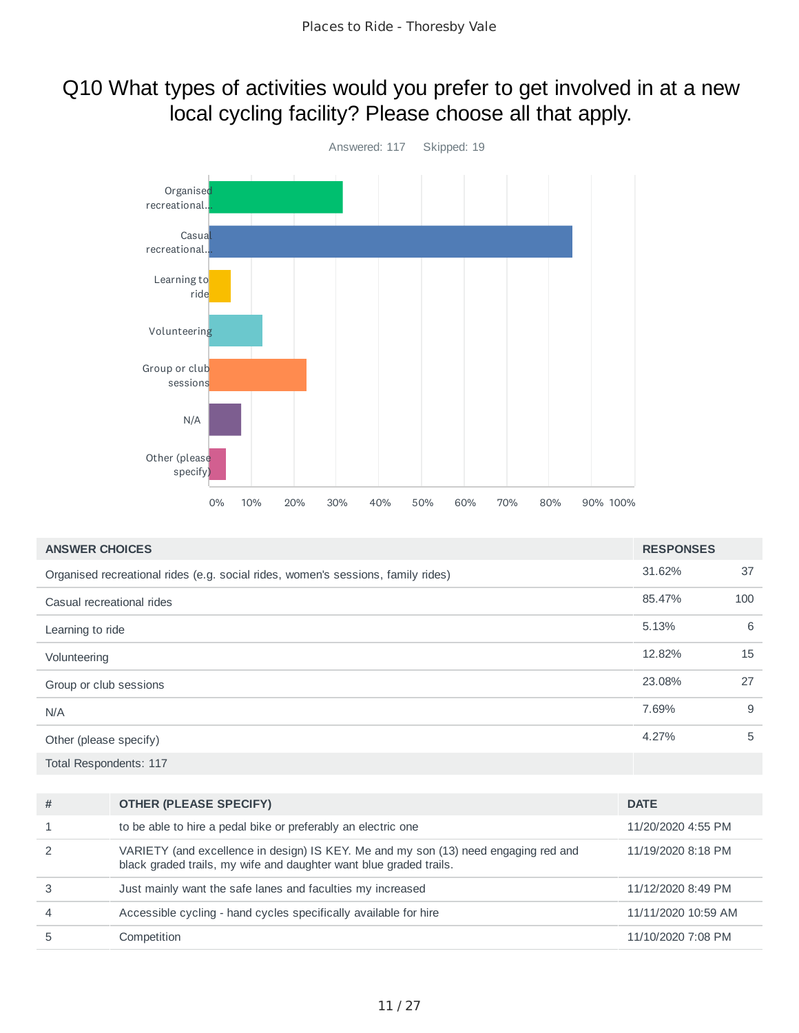### Q10 What types of activities would you prefer to get involved in at a new local cycling facility? Please choose all that apply.



| <b>ANSWER CHOICES</b>                                                            | <b>RESPONSES</b> |     |
|----------------------------------------------------------------------------------|------------------|-----|
| Organised recreational rides (e.g. social rides, women's sessions, family rides) | 31.62%           | 37  |
| Casual recreational rides                                                        | 85.47%           | 100 |
| Learning to ride                                                                 | 5.13%            | 6   |
| Volunteering                                                                     | 12.82%           | 15  |
| Group or club sessions                                                           | 23.08%           | 27  |
| N/A                                                                              | 7.69%            | 9   |
| Other (please specify)                                                           | 4.27%            | 5   |
| <b>Total Respondents: 117</b>                                                    |                  |     |

| #              | <b>OTHER (PLEASE SPECIFY)</b>                                                                                                                             | <b>DATE</b>         |
|----------------|-----------------------------------------------------------------------------------------------------------------------------------------------------------|---------------------|
| 1              | to be able to hire a pedal bike or preferably an electric one                                                                                             | 11/20/2020 4:55 PM  |
| 2              | VARIETY (and excellence in design) IS KEY. Me and my son (13) need engaging red and<br>black graded trails, my wife and daughter want blue graded trails. | 11/19/2020 8:18 PM  |
| 3              | Just mainly want the safe lanes and faculties my increased                                                                                                | 11/12/2020 8:49 PM  |
| $\overline{4}$ | Accessible cycling - hand cycles specifically available for hire                                                                                          | 11/11/2020 10:59 AM |
| 5              | Competition                                                                                                                                               | 11/10/2020 7:08 PM  |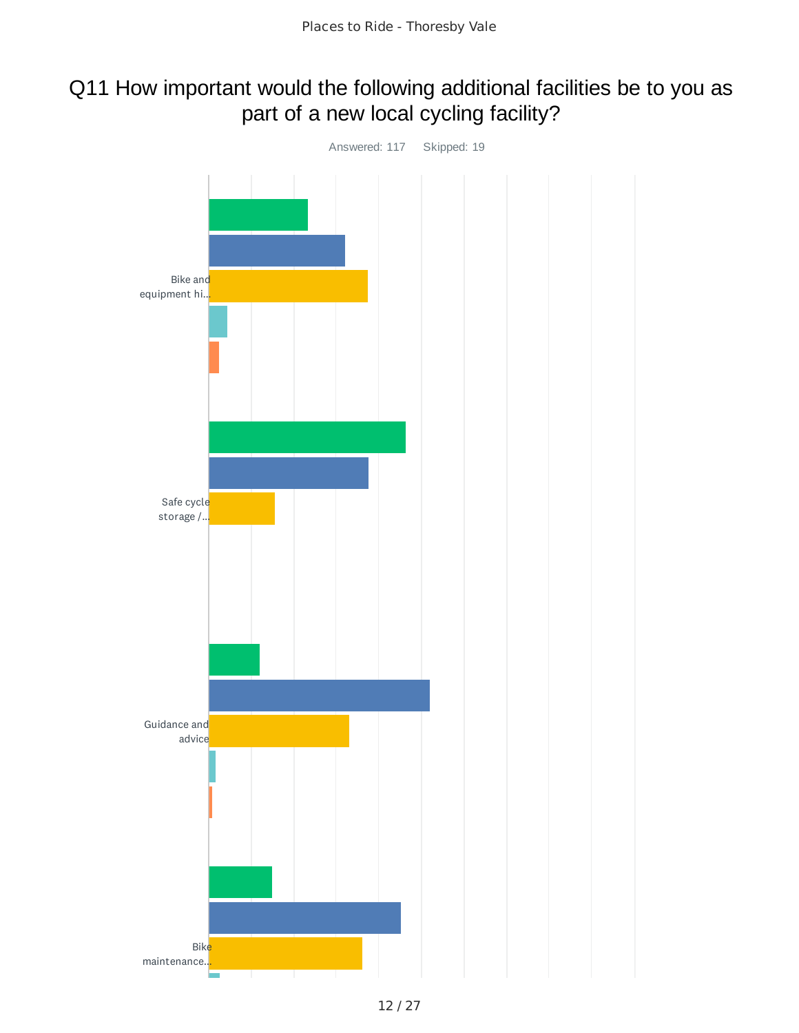#### Q11 How important would the following additional facilities be to you as part of a new local cycling facility?

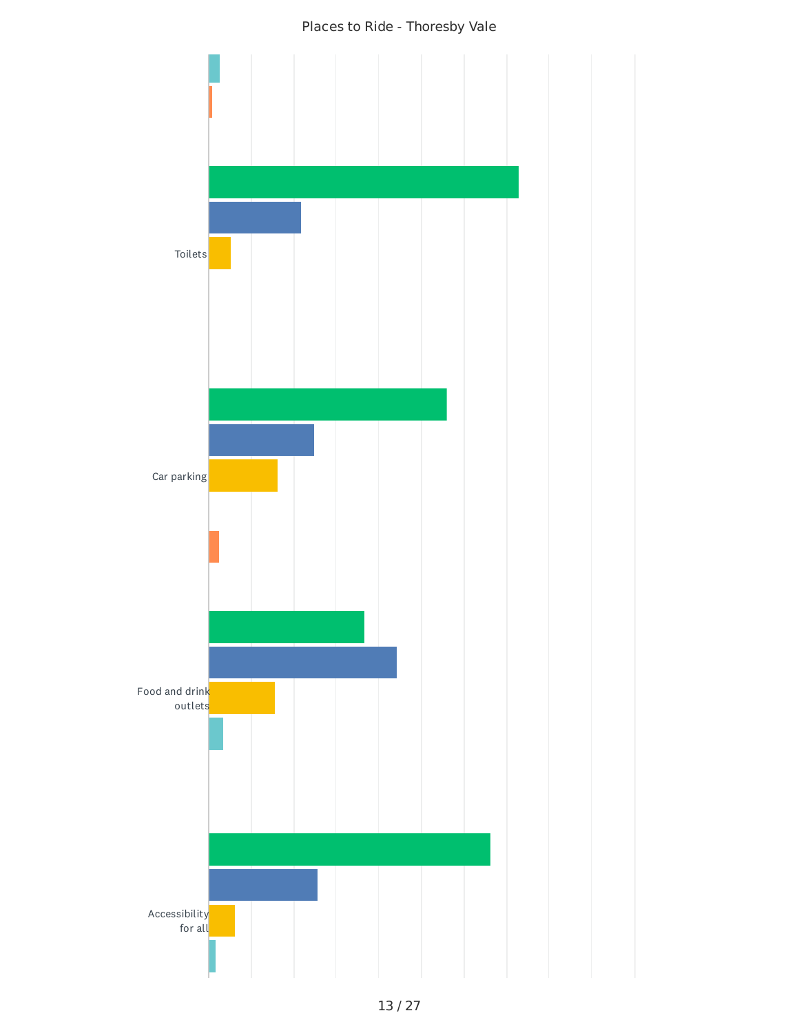

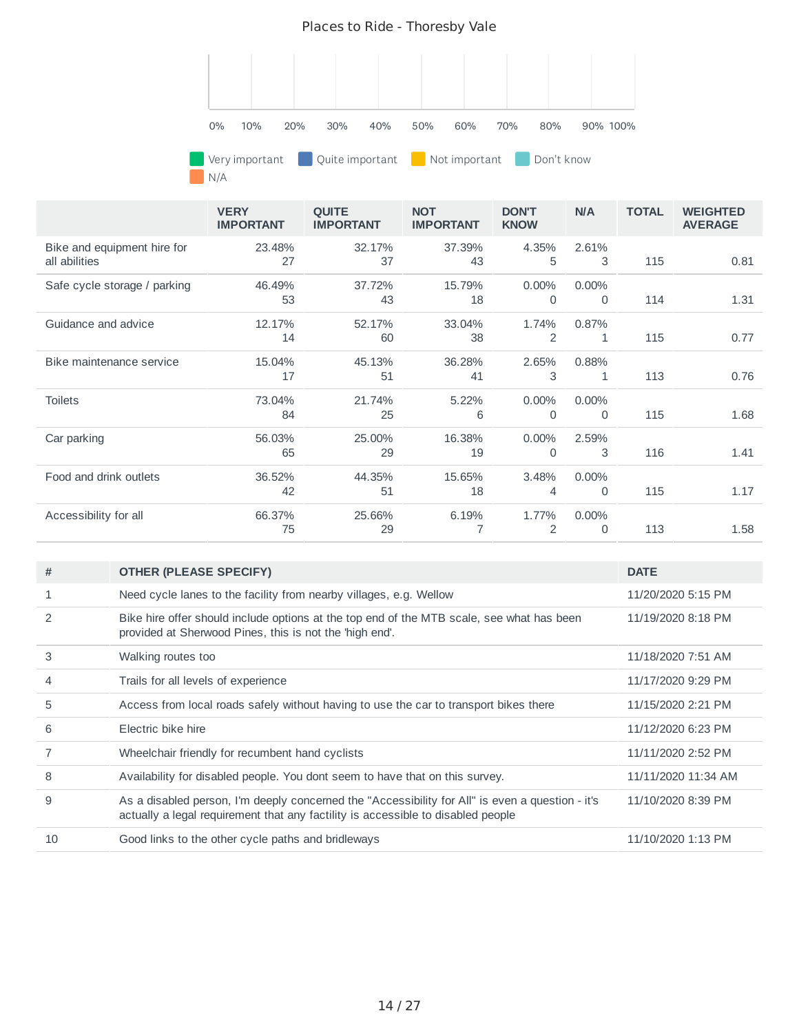

N/A

|                                              | <b>VERY</b><br><b>IMPORTANT</b> | <b>QUITE</b><br><b>IMPORTANT</b> | <b>NOT</b><br><b>IMPORTANT</b> | <b>DON'T</b><br><b>KNOW</b> | <b>N/A</b>              | <b>TOTAL</b> | <b>WEIGHTED</b><br><b>AVERAGE</b> |
|----------------------------------------------|---------------------------------|----------------------------------|--------------------------------|-----------------------------|-------------------------|--------------|-----------------------------------|
| Bike and equipment hire for<br>all abilities | 23.48%<br>27                    | 32.17%<br>37                     | 37.39%<br>43                   | 4.35%<br>5                  | 2.61%<br>3              | 115          | 0.81                              |
| Safe cycle storage / parking                 | 46.49%<br>53                    | 37.72%<br>43                     | 15.79%<br>18                   | 0.00%<br>$\Omega$           | $0.00\%$<br>0           | 114          | 1.31                              |
| Guidance and advice                          | 12.17%<br>14                    | 52.17%<br>60                     | 33.04%<br>38                   | 1.74%<br>2                  | 0.87%<br>1              | 115          | 0.77                              |
| Bike maintenance service                     | 15.04%<br>17                    | 45.13%<br>51                     | 36.28%<br>41                   | 2.65%<br>3                  | 0.88%<br>1              | 113          | 0.76                              |
| <b>Toilets</b>                               | 73.04%<br>84                    | 21.74%<br>25                     | 5.22%<br>6                     | 0.00%<br>$\Omega$           | 0.00%<br>0              | 115          | 1.68                              |
| Car parking                                  | 56.03%<br>65                    | 25.00%<br>29                     | 16.38%<br>19                   | 0.00%<br>0                  | 2.59%<br>3              | 116          | 1.41                              |
| Food and drink outlets                       | 36.52%<br>42                    | 44.35%<br>51                     | 15.65%<br>18                   | 3.48%<br>4                  | $0.00\%$<br>$\mathbf 0$ | 115          | 1.17                              |
| Accessibility for all                        | 66.37%<br>75                    | 25.66%<br>29                     | 6.19%                          | 1.77%<br>2                  | $0.00\%$<br>0           | 113          | 1.58                              |

| #             | <b>OTHER (PLEASE SPECIFY)</b>                                                                                                                                                        | <b>DATE</b>         |
|---------------|--------------------------------------------------------------------------------------------------------------------------------------------------------------------------------------|---------------------|
| 1             | Need cycle lanes to the facility from nearby villages, e.g. Wellow                                                                                                                   | 11/20/2020 5:15 PM  |
| $\mathcal{P}$ | Bike hire offer should include options at the top end of the MTB scale, see what has been<br>provided at Sherwood Pines, this is not the 'high end'.                                 | 11/19/2020 8:18 PM  |
| 3             | Walking routes too                                                                                                                                                                   | 11/18/2020 7:51 AM  |
| 4             | Trails for all levels of experience                                                                                                                                                  | 11/17/2020 9:29 PM  |
| 5             | Access from local roads safely without having to use the car to transport bikes there                                                                                                | 11/15/2020 2:21 PM  |
| 6             | Electric bike hire                                                                                                                                                                   | 11/12/2020 6:23 PM  |
| 7             | Wheelchair friendly for recumbent hand cyclists                                                                                                                                      | 11/11/2020 2:52 PM  |
| 8             | Availability for disabled people. You dont seem to have that on this survey.                                                                                                         | 11/11/2020 11:34 AM |
| 9             | As a disabled person, I'm deeply concerned the "Accessibility for All" is even a question - it's<br>actually a legal requirement that any factility is accessible to disabled people | 11/10/2020 8:39 PM  |
| 10            | Good links to the other cycle paths and bridleways                                                                                                                                   | 11/10/2020 1:13 PM  |
|               |                                                                                                                                                                                      |                     |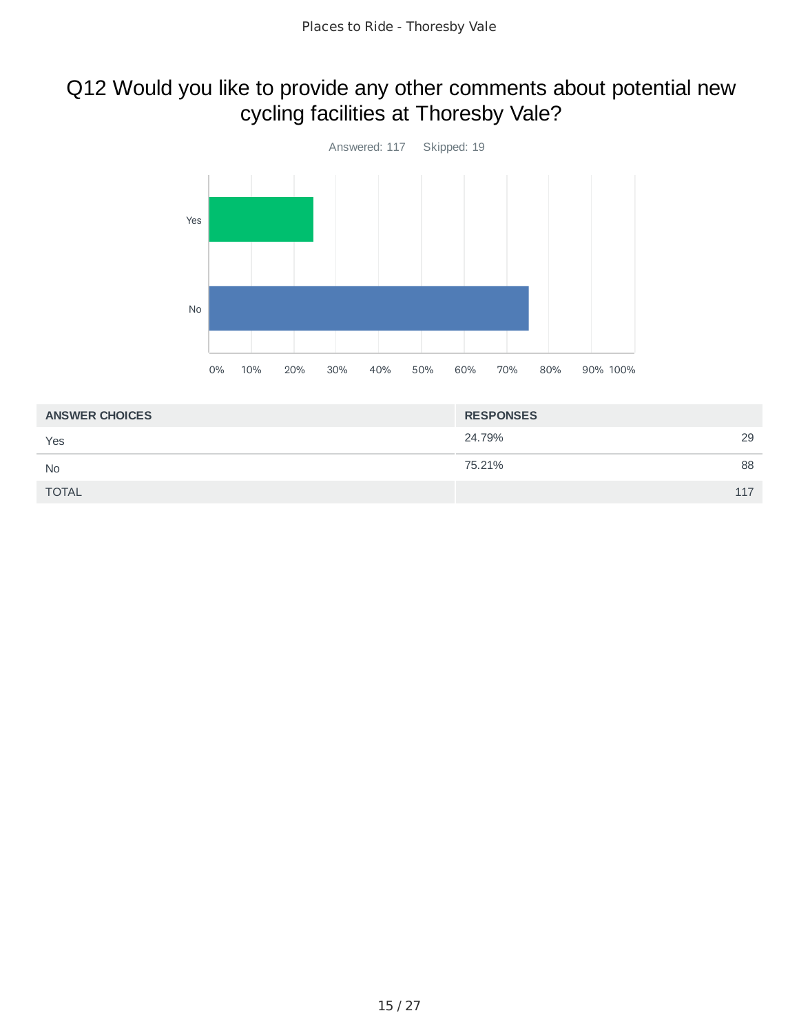### Q12 Would you like to provide any other comments about potential new cycling facilities at Thoresby Vale?



| <b>RESPONSES</b> |     |
|------------------|-----|
| 24.79%           | 29  |
| 75.21%           | 88  |
|                  | 117 |
|                  |     |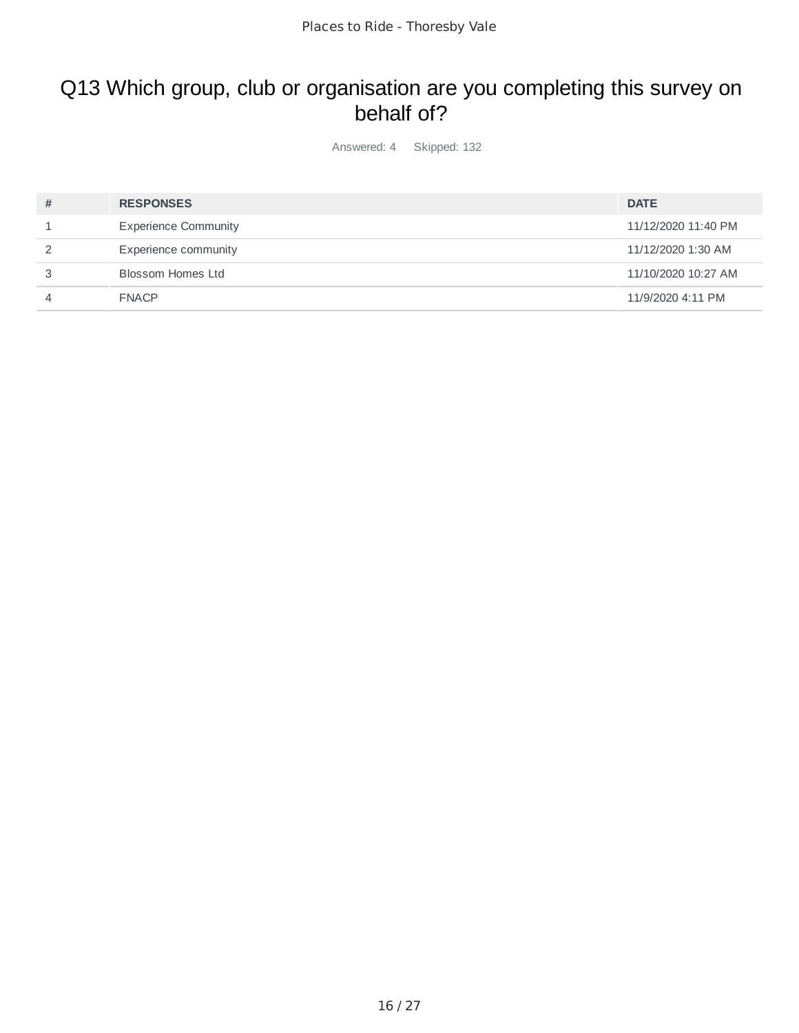### Q13 Which group, club or organisation are you completing this survey on behalf of?

Answered: 4 Skipped: 132

| # | <b>RESPONSES</b>            | <b>DATE</b>         |
|---|-----------------------------|---------------------|
|   | <b>Experience Community</b> | 11/12/2020 11:40 PM |
|   | Experience community        | 11/12/2020 1:30 AM  |
|   | Blossom Homes Ltd           | 11/10/2020 10:27 AM |
|   | <b>FNACP</b>                | 11/9/2020 4:11 PM   |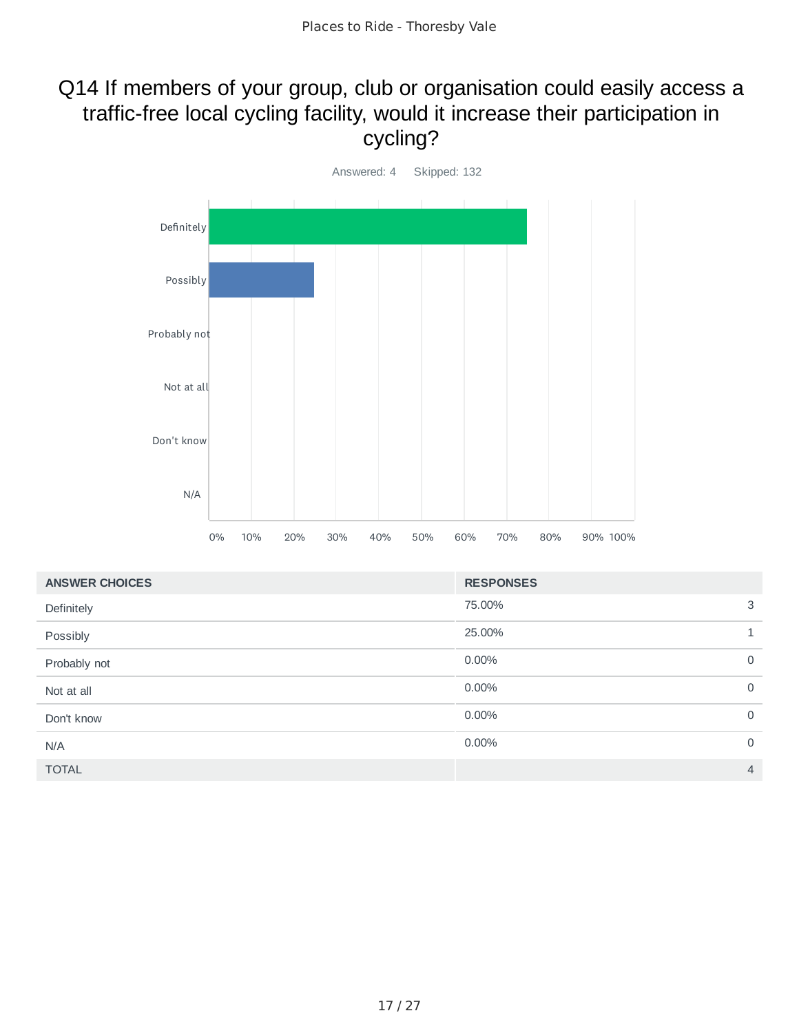### Q14 If members of your group, club or organisation could easily access a traffic-free local cycling facility, would it increase their participation in cycling?



| <b>ANSWER CHOICES</b> | <b>RESPONSES</b> |                |
|-----------------------|------------------|----------------|
| Definitely            | 75.00%           | 3              |
| Possibly              | 25.00%           | $\mathbf{1}$   |
| Probably not          | 0.00%            | 0              |
| Not at all            | $0.00\%$         | $\mathbf 0$    |
| Don't know            | 0.00%            | $\mathbf 0$    |
| N/A                   | 0.00%            | $\mathbf 0$    |
| <b>TOTAL</b>          |                  | $\overline{4}$ |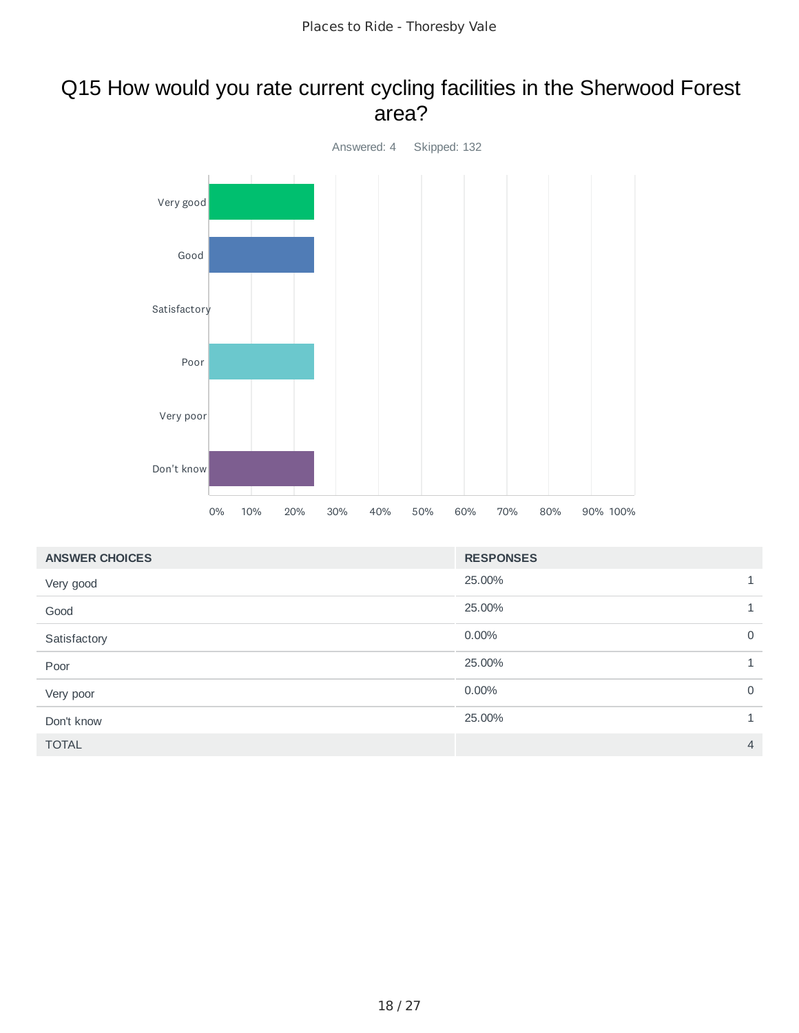#### Q15 How would you rate current cycling facilities in the Sherwood Forest area?



| <b>ANSWER CHOICES</b> | <b>RESPONSES</b> |                |
|-----------------------|------------------|----------------|
| Very good             | 25.00%           | $\mathbf{1}$   |
| Good                  | 25.00%           | $\mathbf{1}$   |
| Satisfactory          | 0.00%            | $\mathsf{O}$   |
| Poor                  | 25.00%           | $\mathbf{1}$   |
| Very poor             | 0.00%            | $\mathbf 0$    |
| Don't know            | 25.00%           | 1              |
| <b>TOTAL</b>          |                  | $\overline{4}$ |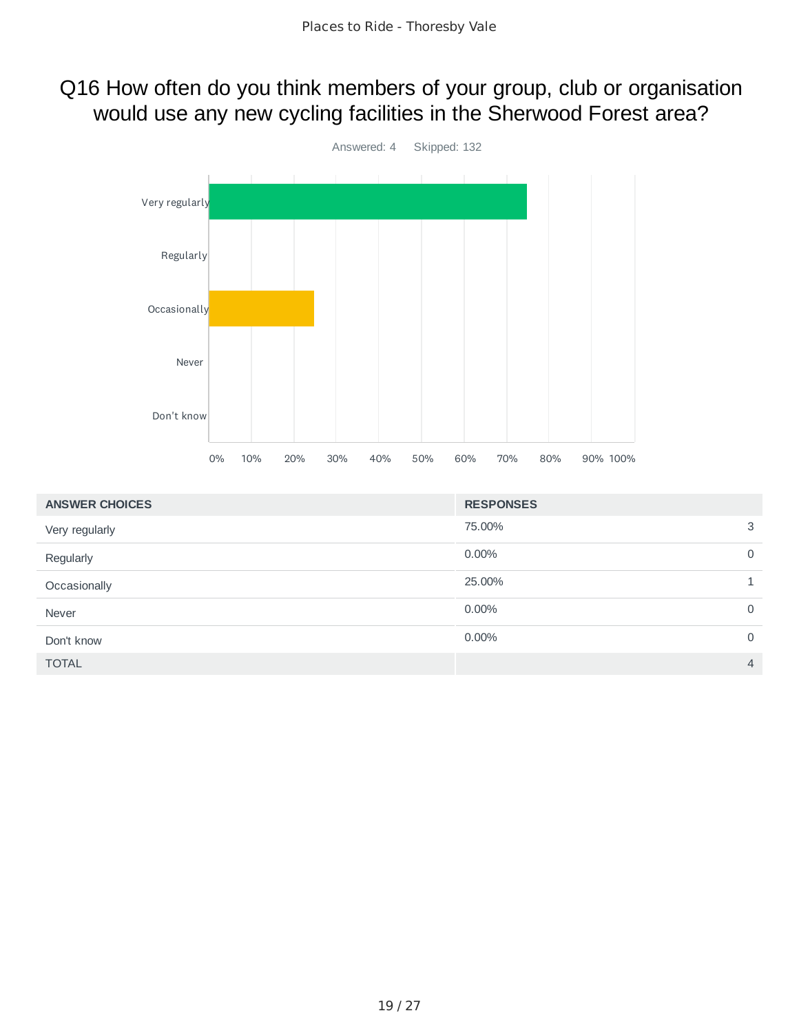#### Q16 How often do you think members of your group, club or organisation would use any new cycling facilities in the Sherwood Forest area?



| <b>ANSWER CHOICES</b> | <b>RESPONSES</b> |                |
|-----------------------|------------------|----------------|
| Very regularly        | 75.00%           | 3              |
| Regularly             | $0.00\%$         | $\mathbf 0$    |
| Occasionally          | 25.00%           |                |
| Never                 | $0.00\%$         | $\mathbf 0$    |
| Don't know            | 0.00%            | $\mathbf 0$    |
| <b>TOTAL</b>          |                  | $\overline{4}$ |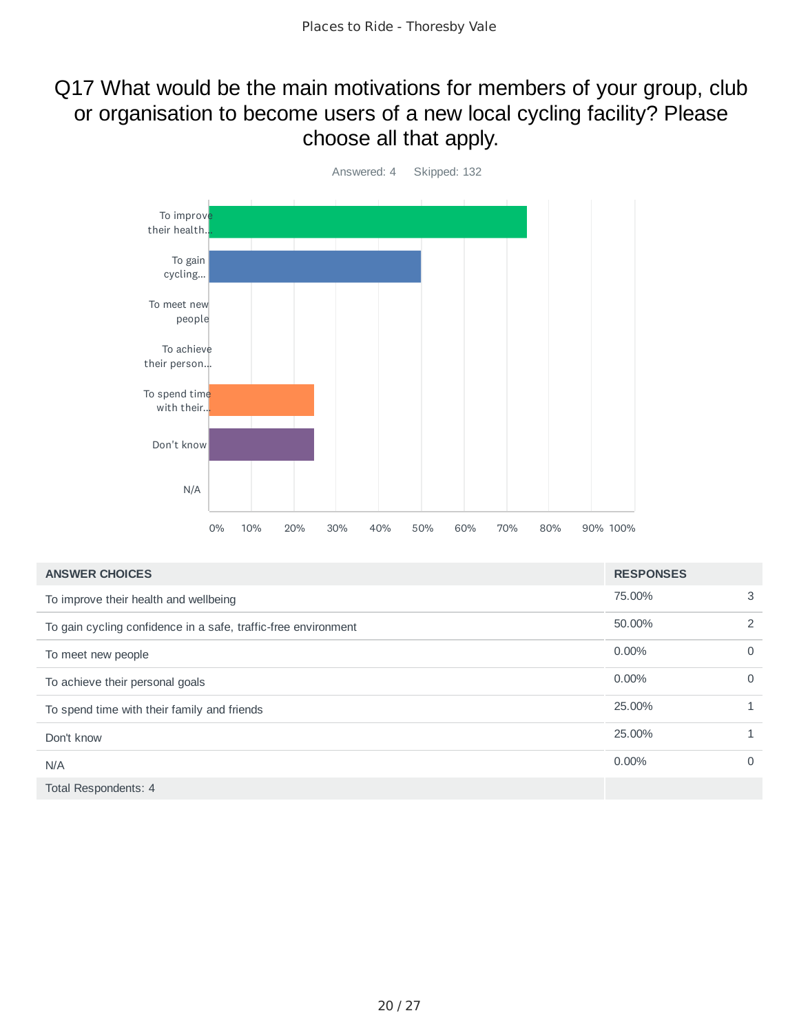### Q17 What would be the main motivations for members of your group, club or organisation to become users of a new local cycling facility? Please choose all that apply.



| <b>ANSWER CHOICES</b>                                          | <b>RESPONSES</b> |              |
|----------------------------------------------------------------|------------------|--------------|
| To improve their health and wellbeing                          | 75.00%           | 3            |
| To gain cycling confidence in a safe, traffic-free environment | 50.00%           | 2            |
| To meet new people                                             | $0.00\%$         | $\Omega$     |
| To achieve their personal goals                                | $0.00\%$         | $\Omega$     |
| To spend time with their family and friends                    | 25,00%           | $\mathbf{1}$ |
| Don't know                                                     | 25,00%           |              |
| N/A                                                            | $0.00\%$         | $\Omega$     |
| Total Respondents: 4                                           |                  |              |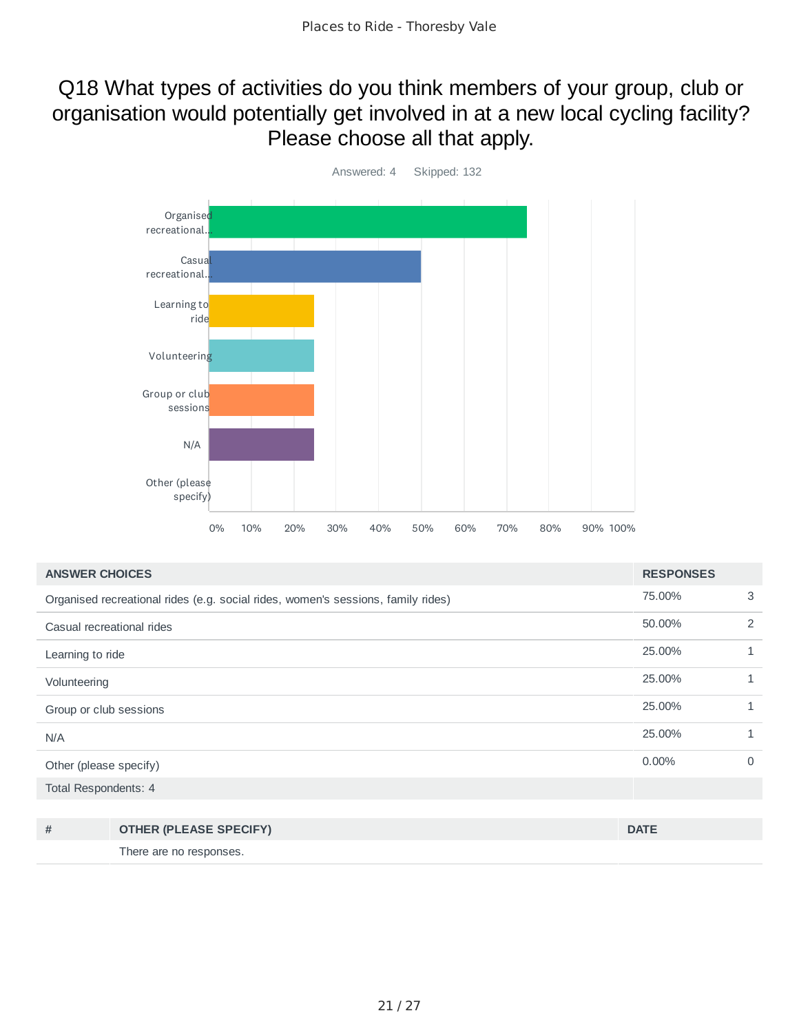#### Q18 What types of activities do you think members of your group, club or organisation would potentially get involved in at a new local cycling facility? Please choose all that apply.



| <b>ANSWER CHOICES</b>                                                            | <b>RESPONSES</b> |              |
|----------------------------------------------------------------------------------|------------------|--------------|
| Organised recreational rides (e.g. social rides, women's sessions, family rides) | 75.00%           | 3            |
| Casual recreational rides                                                        | 50.00%           | 2            |
| Learning to ride                                                                 | 25.00%           | $\mathbf{1}$ |
| Volunteering                                                                     | 25.00%           | $\mathbf{1}$ |
| Group or club sessions                                                           | 25.00%           | 1            |
| N/A                                                                              | 25.00%           | 1            |
| Other (please specify)                                                           | $0.00\%$         | $\Omega$     |
| Total Respondents: 4                                                             |                  |              |

| # | <b>OTHER (PLEASE SPECIFY)</b> | <b>DATE</b> |
|---|-------------------------------|-------------|
|   | There are no responses.       |             |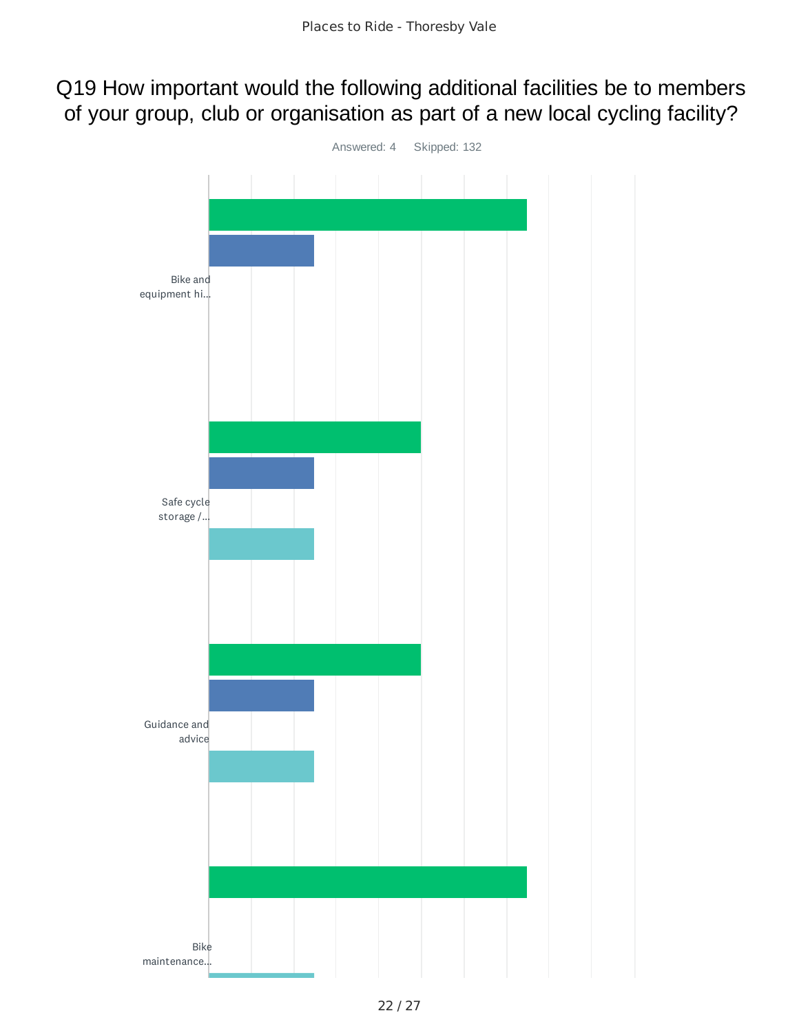#### Q19 How important would the following additional facilities be to members of your group, club or organisation as part of a new local cycling facility?

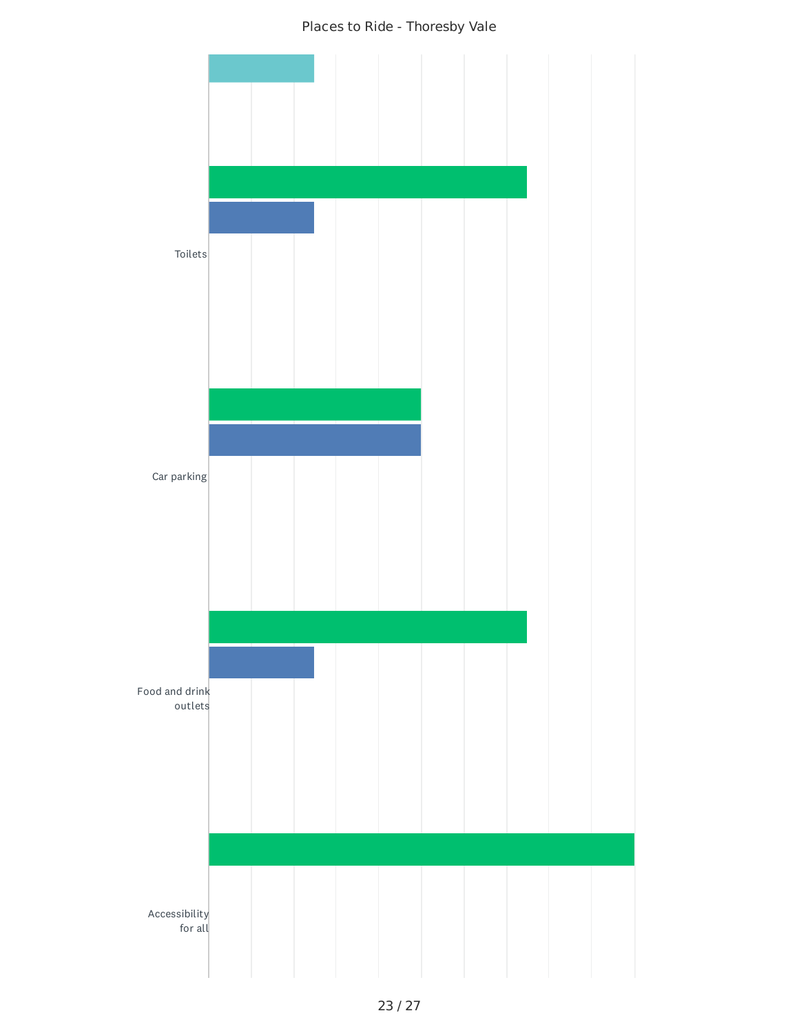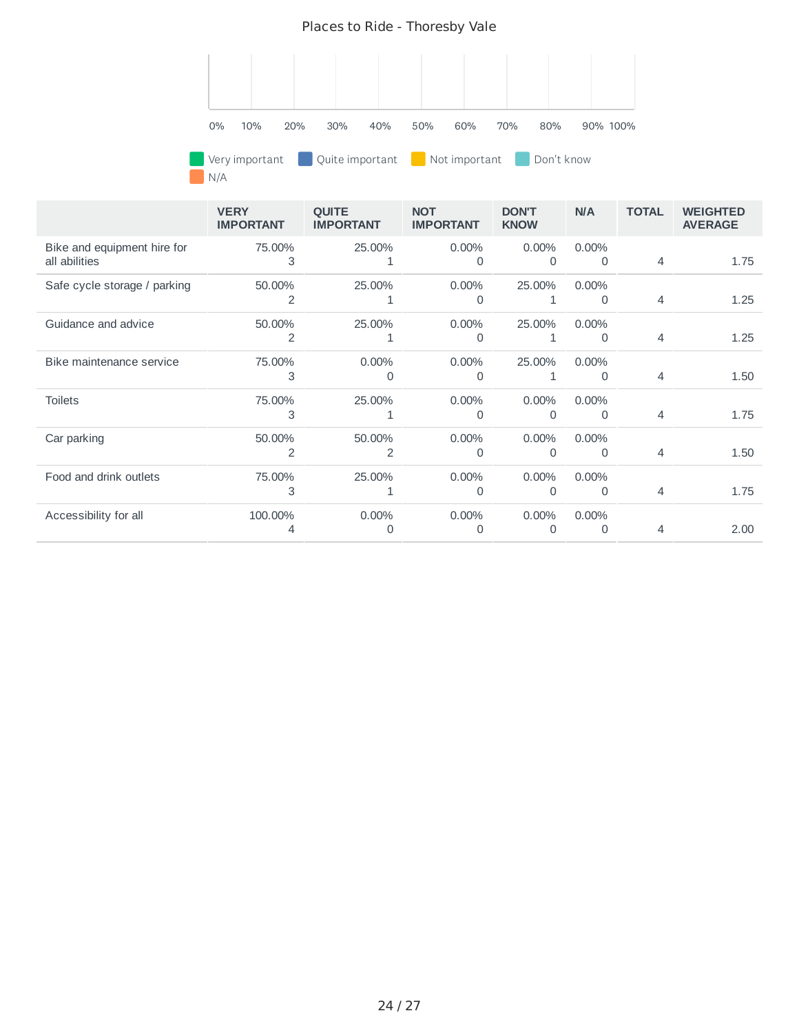

N/A

|                                              | <b>VERY</b><br><b>IMPORTANT</b> | <b>OUITE</b><br><b>IMPORTANT</b> | <b>NOT</b><br><b>IMPORTANT</b> | <b>DON'T</b><br><b>KNOW</b> | <b>N/A</b>           | <b>TOTAL</b>   | <b>WEIGHTED</b><br><b>AVERAGE</b> |
|----------------------------------------------|---------------------------------|----------------------------------|--------------------------------|-----------------------------|----------------------|----------------|-----------------------------------|
| Bike and equipment hire for<br>all abilities | 75.00%<br>3                     | 25.00%<br>1                      | $0.00\%$<br>$\Omega$           | 0.00%<br>$\mathbf{0}$       | $0.00\%$<br>$\Omega$ | $\overline{4}$ | 1.75                              |
| Safe cycle storage / parking                 | 50.00%<br>2                     | 25.00%<br>1                      | $0.00\%$<br>O                  | 25.00%<br>1                 | $0.00\%$<br>0        | $\overline{4}$ | 1.25                              |
| Guidance and advice                          | 50.00%<br>2                     | 25.00%<br>1                      | 0.00%<br>$\Omega$              | 25.00%<br>1                 | $0.00\%$<br>$\Omega$ | 4              | 1.25                              |
| Bike maintenance service                     | 75.00%<br>3                     | 0.00%<br>O                       | 0.00%<br>O                     | 25.00%<br>1                 | 0.00%<br>0           | 4              | 1.50                              |
| <b>Toilets</b>                               | 75.00%<br>3                     | 25.00%<br>1                      | $0.00\%$<br>O                  | 0.00%<br>$\Omega$           | 0.00%<br>0           | 4              | 1.75                              |
| Car parking                                  | 50.00%<br>2                     | 50.00%<br>2                      | 0.00%<br>0                     | 0.00%<br>0                  | 0.00%<br>0           | 4              | 1.50                              |
| Food and drink outlets                       | 75.00%<br>3                     | 25.00%                           | 0.00%<br>$\Omega$              | 0.00%<br>$\Omega$           | $0.00\%$<br>$\Omega$ | $\overline{4}$ | 1.75                              |
| Accessibility for all                        | 100.00%                         | 0.00%<br>O                       | $0.00\%$<br>O                  | 0.00%<br>0                  | $0.00\%$<br>0        | 4              | 2.00                              |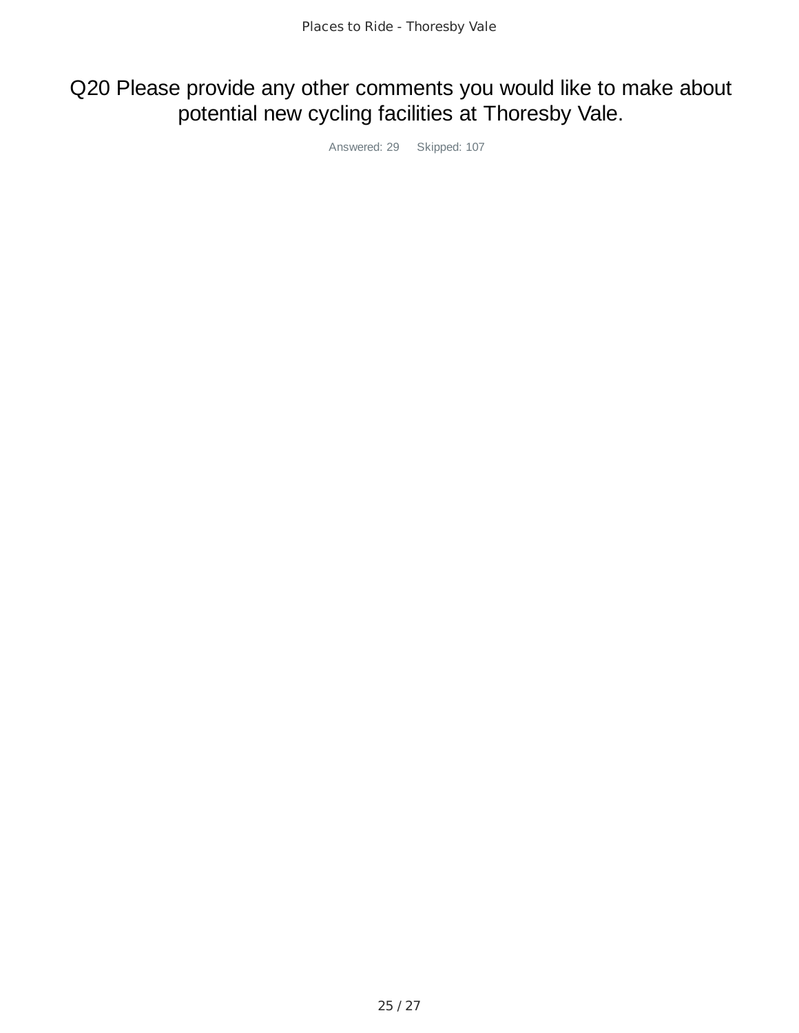### Q20 Please provide any other comments you would like to make about potential new cycling facilities at Thoresby Vale.

Answered: 29 Skipped: 107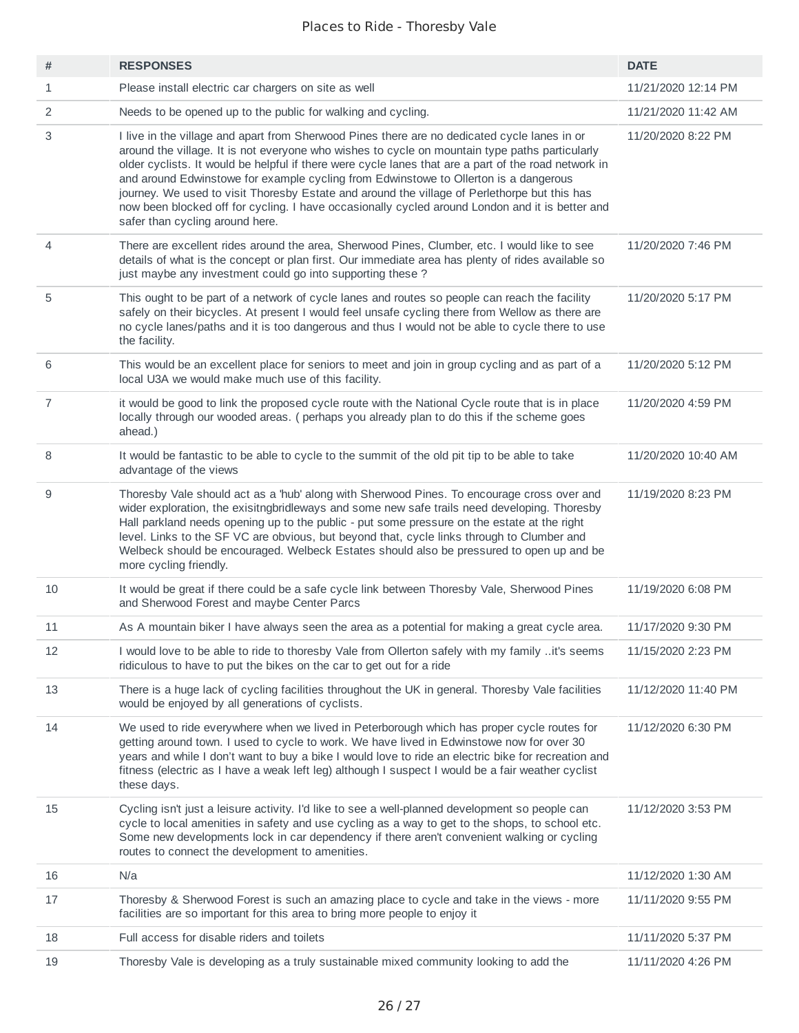| #              | <b>RESPONSES</b>                                                                                                                                                                                                                                                                                                                                                                                                                                                                                                                                                                                                                     | <b>DATE</b>         |
|----------------|--------------------------------------------------------------------------------------------------------------------------------------------------------------------------------------------------------------------------------------------------------------------------------------------------------------------------------------------------------------------------------------------------------------------------------------------------------------------------------------------------------------------------------------------------------------------------------------------------------------------------------------|---------------------|
| $\mathbf{1}$   | Please install electric car chargers on site as well                                                                                                                                                                                                                                                                                                                                                                                                                                                                                                                                                                                 | 11/21/2020 12:14 PM |
| 2              | Needs to be opened up to the public for walking and cycling.                                                                                                                                                                                                                                                                                                                                                                                                                                                                                                                                                                         | 11/21/2020 11:42 AM |
| 3              | I live in the village and apart from Sherwood Pines there are no dedicated cycle lanes in or<br>around the village. It is not everyone who wishes to cycle on mountain type paths particularly<br>older cyclists. It would be helpful if there were cycle lanes that are a part of the road network in<br>and around Edwinstowe for example cycling from Edwinstowe to Ollerton is a dangerous<br>journey. We used to visit Thoresby Estate and around the village of Perlethorpe but this has<br>now been blocked off for cycling. I have occasionally cycled around London and it is better and<br>safer than cycling around here. | 11/20/2020 8:22 PM  |
| 4              | There are excellent rides around the area, Sherwood Pines, Clumber, etc. I would like to see<br>details of what is the concept or plan first. Our immediate area has plenty of rides available so<br>just maybe any investment could go into supporting these?                                                                                                                                                                                                                                                                                                                                                                       | 11/20/2020 7:46 PM  |
| 5              | This ought to be part of a network of cycle lanes and routes so people can reach the facility<br>safely on their bicycles. At present I would feel unsafe cycling there from Wellow as there are<br>no cycle lanes/paths and it is too dangerous and thus I would not be able to cycle there to use<br>the facility.                                                                                                                                                                                                                                                                                                                 | 11/20/2020 5:17 PM  |
| 6              | This would be an excellent place for seniors to meet and join in group cycling and as part of a<br>local U3A we would make much use of this facility.                                                                                                                                                                                                                                                                                                                                                                                                                                                                                | 11/20/2020 5:12 PM  |
| $\overline{7}$ | it would be good to link the proposed cycle route with the National Cycle route that is in place<br>locally through our wooded areas. (perhaps you already plan to do this if the scheme goes<br>ahead.)                                                                                                                                                                                                                                                                                                                                                                                                                             | 11/20/2020 4:59 PM  |
| 8              | It would be fantastic to be able to cycle to the summit of the old pit tip to be able to take<br>advantage of the views                                                                                                                                                                                                                                                                                                                                                                                                                                                                                                              | 11/20/2020 10:40 AM |
| 9              | Thoresby Vale should act as a 'hub' along with Sherwood Pines. To encourage cross over and<br>wider exploration, the exisitngbridleways and some new safe trails need developing. Thoresby<br>Hall parkland needs opening up to the public - put some pressure on the estate at the right<br>level. Links to the SF VC are obvious, but beyond that, cycle links through to Clumber and<br>Welbeck should be encouraged. Welbeck Estates should also be pressured to open up and be<br>more cycling friendly.                                                                                                                        | 11/19/2020 8:23 PM  |
| 10             | It would be great if there could be a safe cycle link between Thoresby Vale, Sherwood Pines<br>and Sherwood Forest and maybe Center Parcs                                                                                                                                                                                                                                                                                                                                                                                                                                                                                            | 11/19/2020 6:08 PM  |
| 11             | As A mountain biker I have always seen the area as a potential for making a great cycle area.                                                                                                                                                                                                                                                                                                                                                                                                                                                                                                                                        | 11/17/2020 9:30 PM  |
| 12             | I would love to be able to ride to thoresby Vale from Ollerton safely with my family it's seems<br>ridiculous to have to put the bikes on the car to get out for a ride                                                                                                                                                                                                                                                                                                                                                                                                                                                              | 11/15/2020 2:23 PM  |
| 13             | There is a huge lack of cycling facilities throughout the UK in general. Thoresby Vale facilities<br>would be enjoyed by all generations of cyclists.                                                                                                                                                                                                                                                                                                                                                                                                                                                                                | 11/12/2020 11:40 PM |
| 14             | We used to ride everywhere when we lived in Peterborough which has proper cycle routes for<br>getting around town. I used to cycle to work. We have lived in Edwinstowe now for over 30<br>years and while I don't want to buy a bike I would love to ride an electric bike for recreation and<br>fitness (electric as I have a weak left leg) although I suspect I would be a fair weather cyclist<br>these days.                                                                                                                                                                                                                   | 11/12/2020 6:30 PM  |
| 15             | Cycling isn't just a leisure activity. I'd like to see a well-planned development so people can<br>cycle to local amenities in safety and use cycling as a way to get to the shops, to school etc.<br>Some new developments lock in car dependency if there aren't convenient walking or cycling<br>routes to connect the development to amenities.                                                                                                                                                                                                                                                                                  | 11/12/2020 3:53 PM  |
| 16             | N/a                                                                                                                                                                                                                                                                                                                                                                                                                                                                                                                                                                                                                                  | 11/12/2020 1:30 AM  |
| 17             | Thoresby & Sherwood Forest is such an amazing place to cycle and take in the views - more<br>facilities are so important for this area to bring more people to enjoy it                                                                                                                                                                                                                                                                                                                                                                                                                                                              | 11/11/2020 9:55 PM  |
| 18             | Full access for disable riders and toilets                                                                                                                                                                                                                                                                                                                                                                                                                                                                                                                                                                                           | 11/11/2020 5:37 PM  |
| 19             | Thoresby Vale is developing as a truly sustainable mixed community looking to add the                                                                                                                                                                                                                                                                                                                                                                                                                                                                                                                                                | 11/11/2020 4:26 PM  |